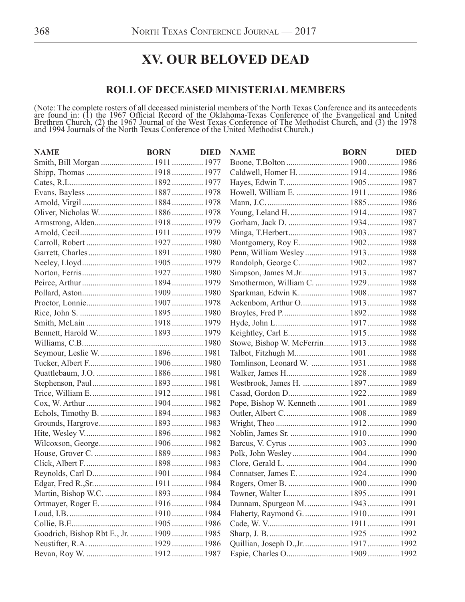## **XV. OUR BELOVED DEAD**

## **ROLL OF DECEASED MINISTERIAL MEMBERS**

(Note: The complete rosters of all deceased ministerial members of the North Texas Conference and its antecedents are found in: (1) the 1967 Official Record of the Oklahoma-Texas Conference of the Evangelical and United Brethren Church, (2) the 1967 Journal of the West Texas Conference of The Methodist Church, and (3) the 1978 and 1994 Journals of the North Texas Conference of the United Methodist Church.)

| <b>NAME</b>                              | <b>BORN</b> | <b>DIED</b> | <b>NAME</b>                         | <b>BORN</b> | <b>DIED</b> |
|------------------------------------------|-------------|-------------|-------------------------------------|-------------|-------------|
|                                          |             |             |                                     |             |             |
|                                          |             |             |                                     |             |             |
|                                          |             |             |                                     |             |             |
|                                          |             |             |                                     |             |             |
|                                          |             |             |                                     |             |             |
|                                          |             |             |                                     |             |             |
|                                          |             |             |                                     |             |             |
|                                          |             |             |                                     |             |             |
|                                          |             |             | Montgomery, Roy E 1902  1988        |             |             |
|                                          |             |             |                                     |             |             |
|                                          |             |             | Randolph, George C 1902  1987       |             |             |
|                                          |             |             |                                     |             |             |
|                                          |             |             | Smothermon, William C.  1929  1988  |             |             |
|                                          |             |             | Sparkman, Edwin K.  1908  1987      |             |             |
|                                          |             |             |                                     |             |             |
|                                          |             |             |                                     |             |             |
|                                          |             |             |                                     |             |             |
| Bennett, Harold W 1893  1979             |             |             |                                     |             |             |
|                                          |             |             | Stowe, Bishop W. McFerrin 1913 1988 |             |             |
| Seymour, Leslie W.  1896  1981           |             |             |                                     |             |             |
|                                          |             |             |                                     |             |             |
|                                          |             |             |                                     |             |             |
| Stephenson, Paul 1893 1981               |             |             | Westbrook, James H.  1897  1989     |             |             |
|                                          |             |             |                                     |             |             |
|                                          |             |             | Pope, Bishop W. Kenneth  1901  1989 |             |             |
| Echols, Timothy B.  1894  1983           |             |             |                                     |             |             |
| Grounds, Hargrove 1893 1983              |             |             |                                     |             |             |
|                                          |             |             |                                     |             |             |
|                                          |             |             | Barcus, V. Cyrus  1903  1990        |             |             |
|                                          |             |             | Polk, John Wesley  1904  1990       |             |             |
|                                          |             |             | Clore, Gerald L.  1904  1990        |             |             |
|                                          |             |             |                                     |             |             |
|                                          |             |             |                                     |             |             |
| Martin, Bishop W.C.  1893  1984          |             |             |                                     |             |             |
|                                          |             |             | Dunnam, Spurgeon M.  1943  1991     |             |             |
|                                          |             |             |                                     |             |             |
|                                          |             |             |                                     |             |             |
| Goodrich, Bishop Rbt E., Jr.  1909  1985 |             |             |                                     |             |             |
|                                          |             |             |                                     |             |             |
|                                          |             |             |                                     |             |             |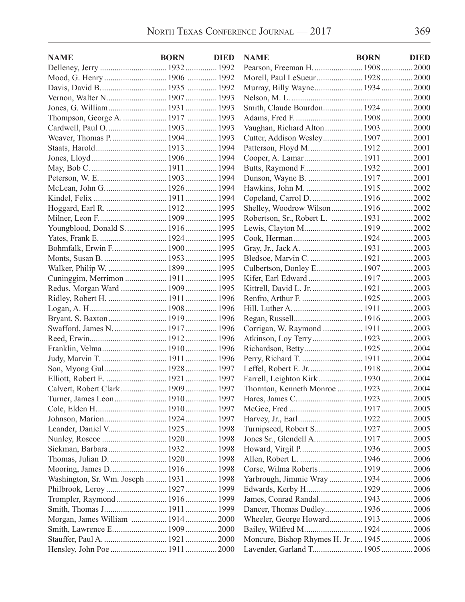| <b>NAME</b>                            | <b>BORN</b> | <b>DIED</b> | <b>NAME</b>                             | <b>BORN</b> | <b>DIED</b> |
|----------------------------------------|-------------|-------------|-----------------------------------------|-------------|-------------|
|                                        |             |             | Pearson, Freeman H.  1908  2000         |             |             |
|                                        |             |             | Morell, Paul LeSueur 1928 2000          |             |             |
|                                        |             |             | Murray, Billy Wayne 1934 2000           |             |             |
| Vernon, Walter N 1907 1993             |             |             |                                         |             |             |
|                                        |             |             | Smith, Claude Bourdon 1924 2000         |             |             |
|                                        |             |             |                                         |             |             |
| Cardwell, Paul O 1903 1993             |             |             | Vaughan, Richard Alton  1903  2000      |             |             |
| Weaver, Thomas P.  1904  1993          |             |             | Cutter, Addison Wesley 1907 2001        |             |             |
|                                        |             |             |                                         |             |             |
|                                        |             |             |                                         |             |             |
|                                        |             |             | Butts, Raymond F 1932 2001              |             |             |
|                                        |             |             |                                         |             |             |
|                                        |             |             |                                         |             |             |
|                                        |             |             |                                         |             |             |
|                                        |             |             | Shelley, Woodrow Wilson 1916 2002       |             |             |
|                                        |             |             | Robertson, Sr., Robert L.  1931  2002   |             |             |
| Youngblood, Donald S 1916 1995         |             |             |                                         |             |             |
|                                        |             |             |                                         |             |             |
|                                        |             |             |                                         |             |             |
|                                        |             |             |                                         |             |             |
|                                        |             |             |                                         |             |             |
|                                        |             |             |                                         |             |             |
|                                        |             |             |                                         |             |             |
|                                        |             |             |                                         |             |             |
|                                        |             |             |                                         |             |             |
|                                        |             |             |                                         |             |             |
|                                        |             |             |                                         |             |             |
|                                        |             |             | Atkinson, Loy Terry 1923 2003           |             |             |
|                                        |             |             |                                         |             |             |
|                                        |             |             |                                         |             |             |
| Son, Myong Gul 1928  1997              |             |             |                                         |             |             |
|                                        |             |             | Farrell, Leighton Kirk  1930  2004      |             |             |
|                                        |             |             | Thornton, Kenneth Monroe  1923          |             | 2004        |
|                                        |             |             |                                         |             |             |
|                                        |             |             |                                         |             |             |
|                                        |             |             |                                         |             |             |
|                                        |             |             |                                         |             |             |
| Leander, Daniel V 1925  1998           |             |             |                                         |             |             |
|                                        |             |             |                                         |             |             |
| Siekman, Barbara 1932 1998             |             |             |                                         |             |             |
| Thomas, Julian D.  1920  1998          |             |             |                                         |             |             |
|                                        |             |             |                                         |             |             |
| Washington, Sr. Wm. Joseph  1931  1998 |             |             | Yarbrough, Jimmie Wray  1934  2006      |             |             |
| Philbrook, Leroy  1927  1999           |             |             |                                         |             |             |
|                                        |             |             | James, Conrad Randal 1943 2006          |             |             |
|                                        |             |             | Dancer, Thomas Dudley 1936 2006         |             |             |
| Morgan, James William  1914  2000      |             |             | Wheeler, George Howard 1913 2006        |             |             |
|                                        |             |             | Bailey, Wilfred M 1924 2006             |             |             |
|                                        |             |             | Moncure, Bishop Rhymes H. Jr 1945  2006 |             |             |
|                                        |             |             | Lavender, Garland T 1905 2006           |             |             |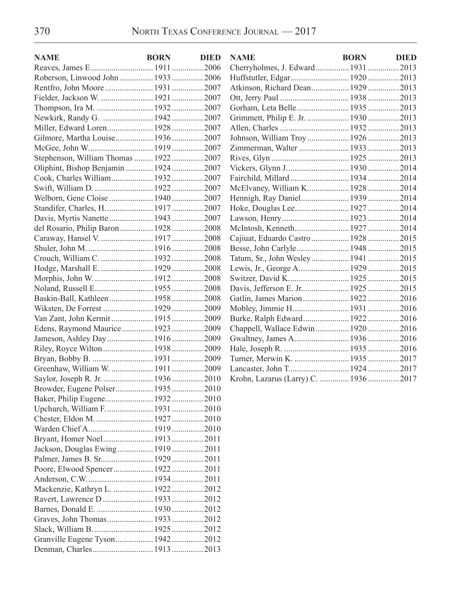| Cherryholmes, J. Edward 1931 2013<br>Roberson, Linwood John  1933  2006<br>Atkinson, Richard Dean 1929 2013<br>Thompson, Ira M.  1932  2007<br>Newkirk, Randy G.  1942  2007<br>Grimmett, Philip E. Jr.  1930  2013<br>Miller, Edward Loren 1928 2007<br>Gilmore, Martha Louise 1936 2007<br>Johnson, William Troy 1926 2013<br>Stephenson, William Thomas  1922  2007<br>Oliphint, Bishop Benjamin  1924  2007<br>Vickers, Glynn J 1930 2014<br>Cook, Charles William 1932 2007<br>Fairchild, Millard  1934  2014<br>McElvaney, William K 1928  2014<br>Welborn, Gene Cloise  1940  2007<br>Davis, Myrtis Nanette  1943  2007<br>McIntosh, Kenneth 1927 2014<br>del Rosario, Philip Baron 1928 2008<br>Cajiuat, Eduardo Castro  1928  2015<br>Switzer, David K 1925  2015<br>Davis, Jefferson E. Jr 1925 2015<br>Chappell, Wallace Edwin 1920 2016<br>Edens, Raymond Maurice 1923 2009<br>Gwaltney, James A 1936 2016<br>Turner, Merwin K.  1935  2017<br>Saylor, Joseph R. Jr.  1936  2010<br>Krohn, Lazarus (Larry) C.  1936  2017<br>Chester, Eldon M.  1927  2010<br>Jackson, Douglas Ewing 1919 2011<br>Poore, Elwood Spencer 1922 2011<br>Granville Eugene Tyson 1942 2012 | <b>NAME</b> | <b>BORN</b> | <b>DIED</b> | <b>NAME</b> | <b>BORN</b> | <b>DIED</b> |
|-----------------------------------------------------------------------------------------------------------------------------------------------------------------------------------------------------------------------------------------------------------------------------------------------------------------------------------------------------------------------------------------------------------------------------------------------------------------------------------------------------------------------------------------------------------------------------------------------------------------------------------------------------------------------------------------------------------------------------------------------------------------------------------------------------------------------------------------------------------------------------------------------------------------------------------------------------------------------------------------------------------------------------------------------------------------------------------------------------------------------------------------------------------------------------------|-------------|-------------|-------------|-------------|-------------|-------------|
|                                                                                                                                                                                                                                                                                                                                                                                                                                                                                                                                                                                                                                                                                                                                                                                                                                                                                                                                                                                                                                                                                                                                                                                   |             |             |             |             |             |             |
|                                                                                                                                                                                                                                                                                                                                                                                                                                                                                                                                                                                                                                                                                                                                                                                                                                                                                                                                                                                                                                                                                                                                                                                   |             |             |             |             |             |             |
|                                                                                                                                                                                                                                                                                                                                                                                                                                                                                                                                                                                                                                                                                                                                                                                                                                                                                                                                                                                                                                                                                                                                                                                   |             |             |             |             |             |             |
|                                                                                                                                                                                                                                                                                                                                                                                                                                                                                                                                                                                                                                                                                                                                                                                                                                                                                                                                                                                                                                                                                                                                                                                   |             |             |             |             |             |             |
|                                                                                                                                                                                                                                                                                                                                                                                                                                                                                                                                                                                                                                                                                                                                                                                                                                                                                                                                                                                                                                                                                                                                                                                   |             |             |             |             |             |             |
|                                                                                                                                                                                                                                                                                                                                                                                                                                                                                                                                                                                                                                                                                                                                                                                                                                                                                                                                                                                                                                                                                                                                                                                   |             |             |             |             |             |             |
|                                                                                                                                                                                                                                                                                                                                                                                                                                                                                                                                                                                                                                                                                                                                                                                                                                                                                                                                                                                                                                                                                                                                                                                   |             |             |             |             |             |             |
|                                                                                                                                                                                                                                                                                                                                                                                                                                                                                                                                                                                                                                                                                                                                                                                                                                                                                                                                                                                                                                                                                                                                                                                   |             |             |             |             |             |             |
|                                                                                                                                                                                                                                                                                                                                                                                                                                                                                                                                                                                                                                                                                                                                                                                                                                                                                                                                                                                                                                                                                                                                                                                   |             |             |             |             |             |             |
|                                                                                                                                                                                                                                                                                                                                                                                                                                                                                                                                                                                                                                                                                                                                                                                                                                                                                                                                                                                                                                                                                                                                                                                   |             |             |             |             |             |             |
|                                                                                                                                                                                                                                                                                                                                                                                                                                                                                                                                                                                                                                                                                                                                                                                                                                                                                                                                                                                                                                                                                                                                                                                   |             |             |             |             |             |             |
|                                                                                                                                                                                                                                                                                                                                                                                                                                                                                                                                                                                                                                                                                                                                                                                                                                                                                                                                                                                                                                                                                                                                                                                   |             |             |             |             |             |             |
|                                                                                                                                                                                                                                                                                                                                                                                                                                                                                                                                                                                                                                                                                                                                                                                                                                                                                                                                                                                                                                                                                                                                                                                   |             |             |             |             |             |             |
|                                                                                                                                                                                                                                                                                                                                                                                                                                                                                                                                                                                                                                                                                                                                                                                                                                                                                                                                                                                                                                                                                                                                                                                   |             |             |             |             |             |             |
|                                                                                                                                                                                                                                                                                                                                                                                                                                                                                                                                                                                                                                                                                                                                                                                                                                                                                                                                                                                                                                                                                                                                                                                   |             |             |             |             |             |             |
|                                                                                                                                                                                                                                                                                                                                                                                                                                                                                                                                                                                                                                                                                                                                                                                                                                                                                                                                                                                                                                                                                                                                                                                   |             |             |             |             |             |             |
|                                                                                                                                                                                                                                                                                                                                                                                                                                                                                                                                                                                                                                                                                                                                                                                                                                                                                                                                                                                                                                                                                                                                                                                   |             |             |             |             |             |             |
|                                                                                                                                                                                                                                                                                                                                                                                                                                                                                                                                                                                                                                                                                                                                                                                                                                                                                                                                                                                                                                                                                                                                                                                   |             |             |             |             |             |             |
|                                                                                                                                                                                                                                                                                                                                                                                                                                                                                                                                                                                                                                                                                                                                                                                                                                                                                                                                                                                                                                                                                                                                                                                   |             |             |             |             |             |             |
|                                                                                                                                                                                                                                                                                                                                                                                                                                                                                                                                                                                                                                                                                                                                                                                                                                                                                                                                                                                                                                                                                                                                                                                   |             |             |             |             |             |             |
|                                                                                                                                                                                                                                                                                                                                                                                                                                                                                                                                                                                                                                                                                                                                                                                                                                                                                                                                                                                                                                                                                                                                                                                   |             |             |             |             |             |             |
|                                                                                                                                                                                                                                                                                                                                                                                                                                                                                                                                                                                                                                                                                                                                                                                                                                                                                                                                                                                                                                                                                                                                                                                   |             |             |             |             |             |             |
|                                                                                                                                                                                                                                                                                                                                                                                                                                                                                                                                                                                                                                                                                                                                                                                                                                                                                                                                                                                                                                                                                                                                                                                   |             |             |             |             |             |             |
|                                                                                                                                                                                                                                                                                                                                                                                                                                                                                                                                                                                                                                                                                                                                                                                                                                                                                                                                                                                                                                                                                                                                                                                   |             |             |             |             |             |             |
|                                                                                                                                                                                                                                                                                                                                                                                                                                                                                                                                                                                                                                                                                                                                                                                                                                                                                                                                                                                                                                                                                                                                                                                   |             |             |             |             |             |             |
|                                                                                                                                                                                                                                                                                                                                                                                                                                                                                                                                                                                                                                                                                                                                                                                                                                                                                                                                                                                                                                                                                                                                                                                   |             |             |             |             |             |             |
|                                                                                                                                                                                                                                                                                                                                                                                                                                                                                                                                                                                                                                                                                                                                                                                                                                                                                                                                                                                                                                                                                                                                                                                   |             |             |             |             |             |             |
|                                                                                                                                                                                                                                                                                                                                                                                                                                                                                                                                                                                                                                                                                                                                                                                                                                                                                                                                                                                                                                                                                                                                                                                   |             |             |             |             |             |             |
|                                                                                                                                                                                                                                                                                                                                                                                                                                                                                                                                                                                                                                                                                                                                                                                                                                                                                                                                                                                                                                                                                                                                                                                   |             |             |             |             |             |             |
|                                                                                                                                                                                                                                                                                                                                                                                                                                                                                                                                                                                                                                                                                                                                                                                                                                                                                                                                                                                                                                                                                                                                                                                   |             |             |             |             |             |             |
|                                                                                                                                                                                                                                                                                                                                                                                                                                                                                                                                                                                                                                                                                                                                                                                                                                                                                                                                                                                                                                                                                                                                                                                   |             |             |             |             |             |             |
|                                                                                                                                                                                                                                                                                                                                                                                                                                                                                                                                                                                                                                                                                                                                                                                                                                                                                                                                                                                                                                                                                                                                                                                   |             |             |             |             |             |             |
|                                                                                                                                                                                                                                                                                                                                                                                                                                                                                                                                                                                                                                                                                                                                                                                                                                                                                                                                                                                                                                                                                                                                                                                   |             |             |             |             |             |             |
|                                                                                                                                                                                                                                                                                                                                                                                                                                                                                                                                                                                                                                                                                                                                                                                                                                                                                                                                                                                                                                                                                                                                                                                   |             |             |             |             |             |             |
|                                                                                                                                                                                                                                                                                                                                                                                                                                                                                                                                                                                                                                                                                                                                                                                                                                                                                                                                                                                                                                                                                                                                                                                   |             |             |             |             |             |             |
|                                                                                                                                                                                                                                                                                                                                                                                                                                                                                                                                                                                                                                                                                                                                                                                                                                                                                                                                                                                                                                                                                                                                                                                   |             |             |             |             |             |             |
|                                                                                                                                                                                                                                                                                                                                                                                                                                                                                                                                                                                                                                                                                                                                                                                                                                                                                                                                                                                                                                                                                                                                                                                   |             |             |             |             |             |             |
|                                                                                                                                                                                                                                                                                                                                                                                                                                                                                                                                                                                                                                                                                                                                                                                                                                                                                                                                                                                                                                                                                                                                                                                   |             |             |             |             |             |             |
|                                                                                                                                                                                                                                                                                                                                                                                                                                                                                                                                                                                                                                                                                                                                                                                                                                                                                                                                                                                                                                                                                                                                                                                   |             |             |             |             |             |             |
|                                                                                                                                                                                                                                                                                                                                                                                                                                                                                                                                                                                                                                                                                                                                                                                                                                                                                                                                                                                                                                                                                                                                                                                   |             |             |             |             |             |             |
|                                                                                                                                                                                                                                                                                                                                                                                                                                                                                                                                                                                                                                                                                                                                                                                                                                                                                                                                                                                                                                                                                                                                                                                   |             |             |             |             |             |             |
|                                                                                                                                                                                                                                                                                                                                                                                                                                                                                                                                                                                                                                                                                                                                                                                                                                                                                                                                                                                                                                                                                                                                                                                   |             |             |             |             |             |             |
|                                                                                                                                                                                                                                                                                                                                                                                                                                                                                                                                                                                                                                                                                                                                                                                                                                                                                                                                                                                                                                                                                                                                                                                   |             |             |             |             |             |             |
|                                                                                                                                                                                                                                                                                                                                                                                                                                                                                                                                                                                                                                                                                                                                                                                                                                                                                                                                                                                                                                                                                                                                                                                   |             |             |             |             |             |             |
|                                                                                                                                                                                                                                                                                                                                                                                                                                                                                                                                                                                                                                                                                                                                                                                                                                                                                                                                                                                                                                                                                                                                                                                   |             |             |             |             |             |             |
|                                                                                                                                                                                                                                                                                                                                                                                                                                                                                                                                                                                                                                                                                                                                                                                                                                                                                                                                                                                                                                                                                                                                                                                   |             |             |             |             |             |             |
|                                                                                                                                                                                                                                                                                                                                                                                                                                                                                                                                                                                                                                                                                                                                                                                                                                                                                                                                                                                                                                                                                                                                                                                   |             |             |             |             |             |             |
|                                                                                                                                                                                                                                                                                                                                                                                                                                                                                                                                                                                                                                                                                                                                                                                                                                                                                                                                                                                                                                                                                                                                                                                   |             |             |             |             |             |             |
|                                                                                                                                                                                                                                                                                                                                                                                                                                                                                                                                                                                                                                                                                                                                                                                                                                                                                                                                                                                                                                                                                                                                                                                   |             |             |             |             |             |             |